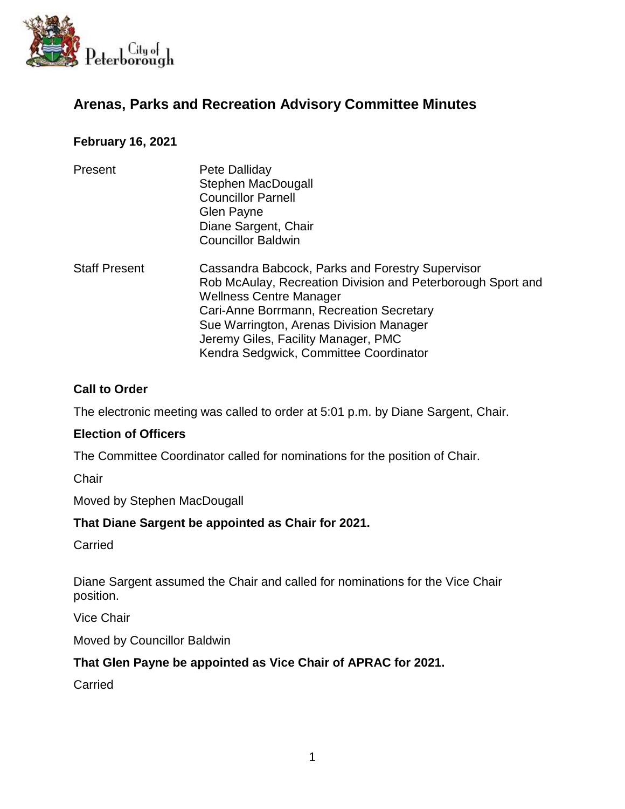

# **Arenas, Parks and Recreation Advisory Committee Minutes**

### **February 16, 2021**

| Present              | Pete Dalliday<br>Stephen MacDougall<br><b>Councillor Parnell</b><br>Glen Payne<br>Diane Sargent, Chair<br><b>Councillor Baldwin</b>                                                                                                                                                                                       |
|----------------------|---------------------------------------------------------------------------------------------------------------------------------------------------------------------------------------------------------------------------------------------------------------------------------------------------------------------------|
| <b>Staff Present</b> | Cassandra Babcock, Parks and Forestry Supervisor<br>Rob McAulay, Recreation Division and Peterborough Sport and<br><b>Wellness Centre Manager</b><br>Cari-Anne Borrmann, Recreation Secretary<br>Sue Warrington, Arenas Division Manager<br>Jeremy Giles, Facility Manager, PMC<br>Kendra Sedgwick, Committee Coordinator |

#### **Call to Order**

The electronic meeting was called to order at 5:01 p.m. by Diane Sargent, Chair.

#### **Election of Officers**

The Committee Coordinator called for nominations for the position of Chair.

**Chair** 

Moved by Stephen MacDougall

#### **That Diane Sargent be appointed as Chair for 2021.**

Carried

Diane Sargent assumed the Chair and called for nominations for the Vice Chair position.

Vice Chair

Moved by Councillor Baldwin

### **That Glen Payne be appointed as Vice Chair of APRAC for 2021.**

Carried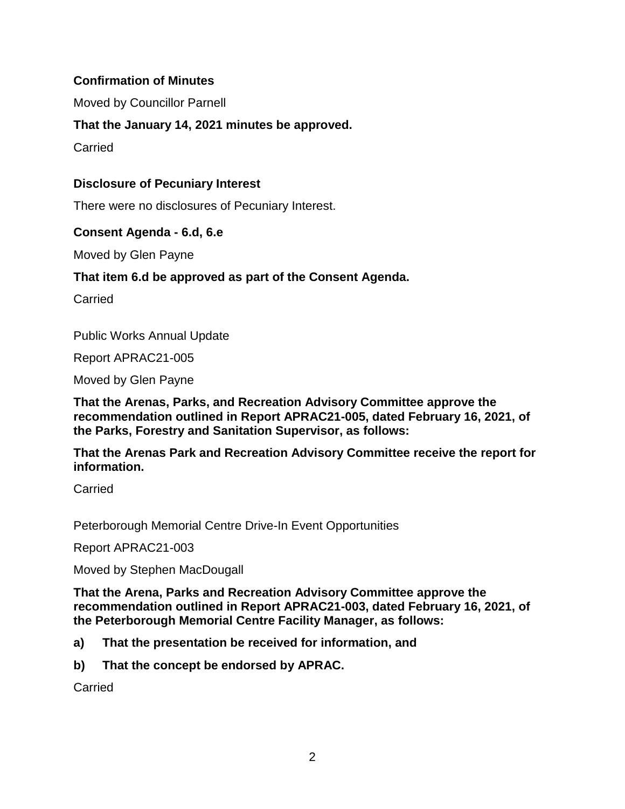## **Confirmation of Minutes**

Moved by Councillor Parnell

**That the January 14, 2021 minutes be approved.**

**Carried** 

### **Disclosure of Pecuniary Interest**

There were no disclosures of Pecuniary Interest.

### **Consent Agenda - 6.d, 6.e**

Moved by Glen Payne

## **That item 6.d be approved as part of the Consent Agenda.**

**Carried** 

Public Works Annual Update

Report APRAC21-005

Moved by Glen Payne

**That the Arenas, Parks, and Recreation Advisory Committee approve the recommendation outlined in Report APRAC21-005, dated February 16, 2021, of the Parks, Forestry and Sanitation Supervisor, as follows:**

**That the Arenas Park and Recreation Advisory Committee receive the report for information.**

Carried

Peterborough Memorial Centre Drive-In Event Opportunities

Report APRAC21-003

Moved by Stephen MacDougall

**That the Arena, Parks and Recreation Advisory Committee approve the recommendation outlined in Report APRAC21-003, dated February 16, 2021, of the Peterborough Memorial Centre Facility Manager, as follows:**

- **a) That the presentation be received for information, and**
- **b) That the concept be endorsed by APRAC.**

Carried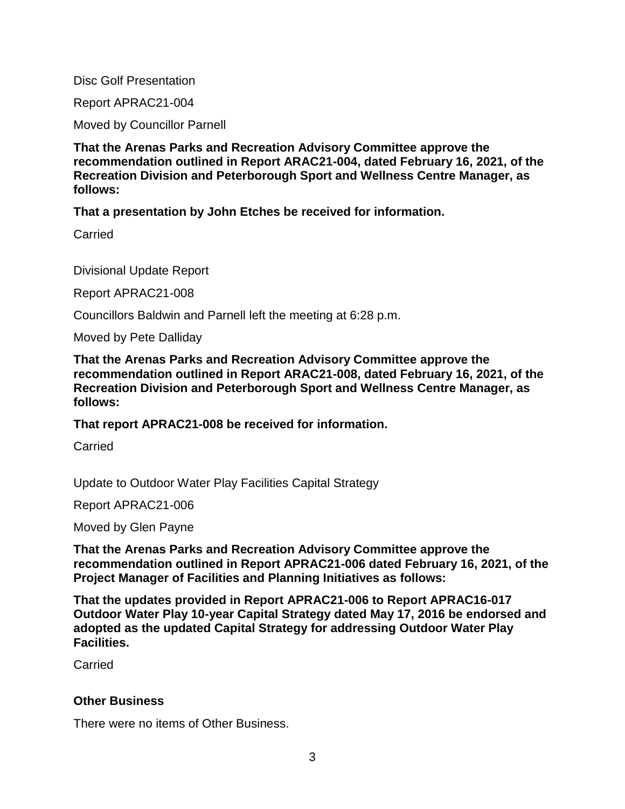Disc Golf Presentation

Report APRAC21-004

Moved by Councillor Parnell

**That the Arenas Parks and Recreation Advisory Committee approve the recommendation outlined in Report ARAC21-004, dated February 16, 2021, of the Recreation Division and Peterborough Sport and Wellness Centre Manager, as follows:**

**That a presentation by John Etches be received for information.**

**Carried** 

Divisional Update Report

Report APRAC21-008

Councillors Baldwin and Parnell left the meeting at 6:28 p.m.

Moved by Pete Dalliday

**That the Arenas Parks and Recreation Advisory Committee approve the recommendation outlined in Report ARAC21-008, dated February 16, 2021, of the Recreation Division and Peterborough Sport and Wellness Centre Manager, as follows:**

**That report APRAC21-008 be received for information.** 

Carried

Update to Outdoor Water Play Facilities Capital Strategy

Report APRAC21-006

Moved by Glen Payne

**That the Arenas Parks and Recreation Advisory Committee approve the recommendation outlined in Report APRAC21-006 dated February 16, 2021, of the Project Manager of Facilities and Planning Initiatives as follows:**

**That the updates provided in Report APRAC21-006 to Report APRAC16-017 Outdoor Water Play 10-year Capital Strategy dated May 17, 2016 be endorsed and adopted as the updated Capital Strategy for addressing Outdoor Water Play Facilities.**

Carried

#### **Other Business**

There were no items of Other Business.